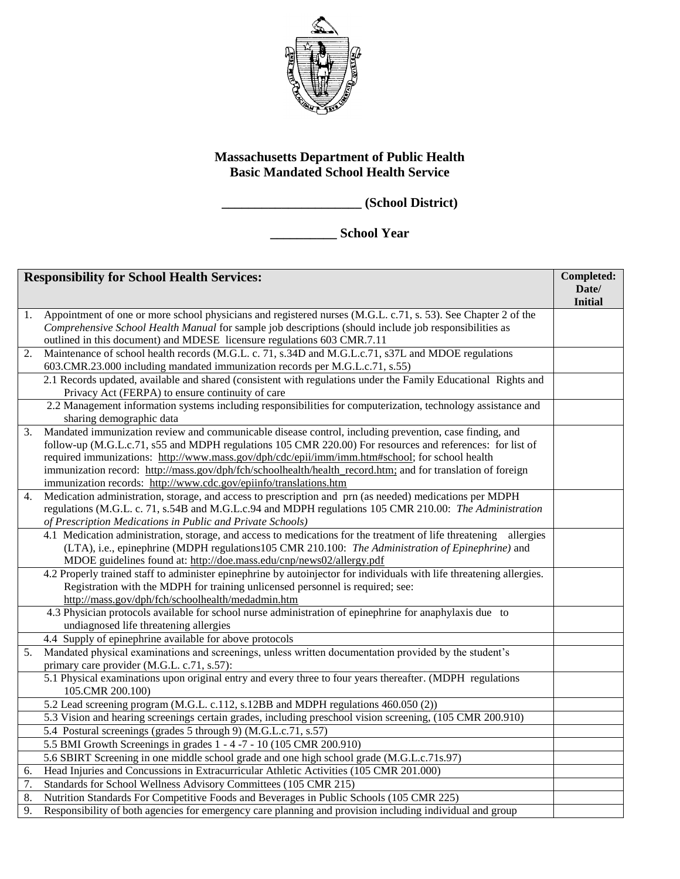

## **Massachusetts Department of Public Health Basic Mandated School Health Service**

**\_\_\_\_\_\_\_\_\_\_\_\_\_\_\_\_\_\_\_\_\_ (School District)**

**\_\_\_\_\_\_\_\_\_\_ School Year**

| <b>Responsibility for School Health Services:</b> |                                                                                                                                                                                                         | Completed:     |
|---------------------------------------------------|---------------------------------------------------------------------------------------------------------------------------------------------------------------------------------------------------------|----------------|
|                                                   |                                                                                                                                                                                                         | Date/          |
| 1.                                                | Appointment of one or more school physicians and registered nurses (M.G.L. c.71, s. 53). See Chapter 2 of the                                                                                           | <b>Initial</b> |
|                                                   | Comprehensive School Health Manual for sample job descriptions (should include job responsibilities as                                                                                                  |                |
|                                                   | outlined in this document) and MDESE licensure regulations 603 CMR.7.11                                                                                                                                 |                |
| 2.                                                | Maintenance of school health records (M.G.L. c. 71, s.34D and M.G.L.c.71, s37L and MDOE regulations                                                                                                     |                |
|                                                   | 603.CMR.23.000 including mandated immunization records per M.G.L.c.71, s.55)                                                                                                                            |                |
|                                                   | 2.1 Records updated, available and shared (consistent with regulations under the Family Educational Rights and                                                                                          |                |
|                                                   | Privacy Act (FERPA) to ensure continuity of care                                                                                                                                                        |                |
|                                                   | 2.2 Management information systems including responsibilities for computerization, technology assistance and                                                                                            |                |
|                                                   | sharing demographic data                                                                                                                                                                                |                |
| 3.                                                | Mandated immunization review and communicable disease control, including prevention, case finding, and                                                                                                  |                |
|                                                   | follow-up (M.G.L.c.71, s55 and MDPH regulations 105 CMR 220.00) For resources and references: for list of                                                                                               |                |
|                                                   | required immunizations: http://www.mass.gov/dph/cdc/epii/imm/imm.htm#school; for school health                                                                                                          |                |
|                                                   | immunization record: http://mass.gov/dph/fch/schoolhealth/health_record.htm; and for translation of foreign                                                                                             |                |
|                                                   | immunization records: http://www.cdc.gov/epiinfo/translations.htm                                                                                                                                       |                |
| 4.                                                | Medication administration, storage, and access to prescription and prn (as needed) medications per MDPH                                                                                                 |                |
|                                                   | regulations (M.G.L. c. 71, s.54B and M.G.L. c.94 and MDPH regulations 105 CMR 210.00: The Administration                                                                                                |                |
|                                                   | of Prescription Medications in Public and Private Schools)                                                                                                                                              |                |
|                                                   | 4.1 Medication administration, storage, and access to medications for the treatment of life threatening<br>allergies                                                                                    |                |
|                                                   | (LTA), i.e., epinephrine (MDPH regulations 105 CMR 210.100: The Administration of Epinephrine) and                                                                                                      |                |
|                                                   | MDOE guidelines found at: http://doe.mass.edu/cnp/news02/allergy.pdf                                                                                                                                    |                |
|                                                   | 4.2 Properly trained staff to administer epinephrine by autoinjector for individuals with life threatening allergies.<br>Registration with the MDPH for training unlicensed personnel is required; see: |                |
|                                                   |                                                                                                                                                                                                         |                |
|                                                   | http://mass.gov/dph/fch/schoolhealth/medadmin.htm<br>4.3 Physician protocols available for school nurse administration of epinephrine for anaphylaxis due to                                            |                |
|                                                   | undiagnosed life threatening allergies                                                                                                                                                                  |                |
|                                                   | 4.4 Supply of epinephrine available for above protocols                                                                                                                                                 |                |
| 5.                                                | Mandated physical examinations and screenings, unless written documentation provided by the student's                                                                                                   |                |
|                                                   | primary care provider (M.G.L. c.71, s.57):                                                                                                                                                              |                |
|                                                   | 5.1 Physical examinations upon original entry and every three to four years thereafter. (MDPH regulations                                                                                               |                |
|                                                   | 105.CMR 200.100)                                                                                                                                                                                        |                |
|                                                   | 5.2 Lead screening program (M.G.L. c.112, s.12BB and MDPH regulations 460.050 (2))                                                                                                                      |                |
|                                                   | 5.3 Vision and hearing screenings certain grades, including preschool vision screening, (105 CMR 200.910)                                                                                               |                |
|                                                   | 5.4 Postural screenings (grades 5 through 9) (M.G.L.c.71, s.57)                                                                                                                                         |                |
|                                                   | 5.5 BMI Growth Screenings in grades 1 - 4 -7 - 10 (105 CMR 200.910)                                                                                                                                     |                |
|                                                   | 5.6 SBIRT Screening in one middle school grade and one high school grade (M.G.L.c.71s.97)                                                                                                               |                |
| 6.                                                | Head Injuries and Concussions in Extracurricular Athletic Activities (105 CMR 201.000)                                                                                                                  |                |
| 7.                                                | Standards for School Wellness Advisory Committees (105 CMR 215)                                                                                                                                         |                |
| 8.                                                | Nutrition Standards For Competitive Foods and Beverages in Public Schools (105 CMR 225)                                                                                                                 |                |
| 9.                                                | Responsibility of both agencies for emergency care planning and provision including individual and group                                                                                                |                |